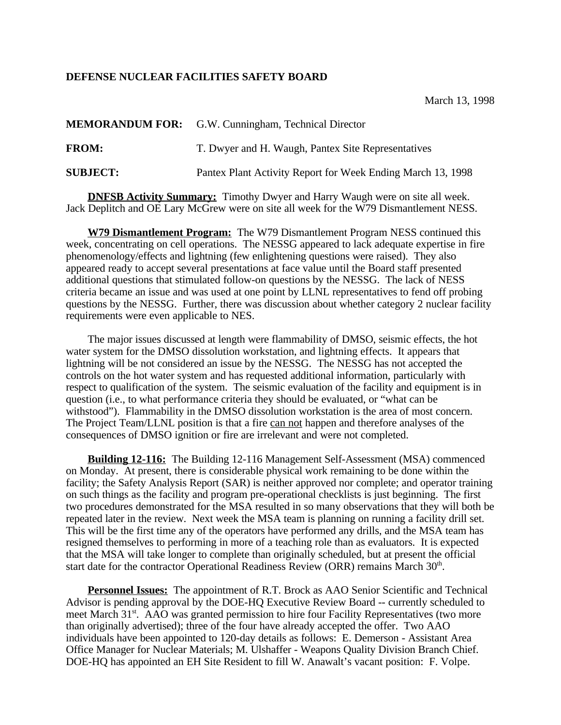## **DEFENSE NUCLEAR FACILITIES SAFETY BOARD**

|                 | <b>MEMORANDUM FOR:</b> G.W. Cunningham, Technical Director  |
|-----------------|-------------------------------------------------------------|
| <b>FROM:</b>    | T. Dwyer and H. Waugh, Pantex Site Representatives          |
| <b>SUBJECT:</b> | Pantex Plant Activity Report for Week Ending March 13, 1998 |

**DNFSB Activity Summary:** Timothy Dwyer and Harry Waugh were on site all week. Jack Deplitch and OE Lary McGrew were on site all week for the W79 Dismantlement NESS.

**W79 Dismantlement Program:** The W79 Dismantlement Program NESS continued this week, concentrating on cell operations. The NESSG appeared to lack adequate expertise in fire phenomenology/effects and lightning (few enlightening questions were raised). They also appeared ready to accept several presentations at face value until the Board staff presented additional questions that stimulated follow-on questions by the NESSG. The lack of NESS criteria became an issue and was used at one point by LLNL representatives to fend off probing questions by the NESSG. Further, there was discussion about whether category 2 nuclear facility requirements were even applicable to NES.

The major issues discussed at length were flammability of DMSO, seismic effects, the hot water system for the DMSO dissolution workstation, and lightning effects. It appears that lightning will be not considered an issue by the NESSG. The NESSG has not accepted the controls on the hot water system and has requested additional information, particularly with respect to qualification of the system. The seismic evaluation of the facility and equipment is in question (i.e., to what performance criteria they should be evaluated, or "what can be withstood"). Flammability in the DMSO dissolution workstation is the area of most concern. The Project Team/LLNL position is that a fire can not happen and therefore analyses of the consequences of DMSO ignition or fire are irrelevant and were not completed.

**Building 12-116:** The Building 12-116 Management Self-Assessment (MSA) commenced on Monday. At present, there is considerable physical work remaining to be done within the facility; the Safety Analysis Report (SAR) is neither approved nor complete; and operator training on such things as the facility and program pre-operational checklists is just beginning. The first two procedures demonstrated for the MSA resulted in so many observations that they will both be repeated later in the review. Next week the MSA team is planning on running a facility drill set. This will be the first time any of the operators have performed any drills, and the MSA team has resigned themselves to performing in more of a teaching role than as evaluators. It is expected that the MSA will take longer to complete than originally scheduled, but at present the official start date for the contractor Operational Readiness Review (ORR) remains March 30<sup>th</sup>.

**Personnel Issues:** The appointment of R.T. Brock as AAO Senior Scientific and Technical Advisor is pending approval by the DOE-HQ Executive Review Board -- currently scheduled to meet March 31<sup>st</sup>. AAO was granted permission to hire four Facility Representatives (two more than originally advertised); three of the four have already accepted the offer. Two AAO individuals have been appointed to 120-day details as follows: E. Demerson - Assistant Area Office Manager for Nuclear Materials; M. Ulshaffer - Weapons Quality Division Branch Chief. DOE-HQ has appointed an EH Site Resident to fill W. Anawalt's vacant position: F. Volpe.